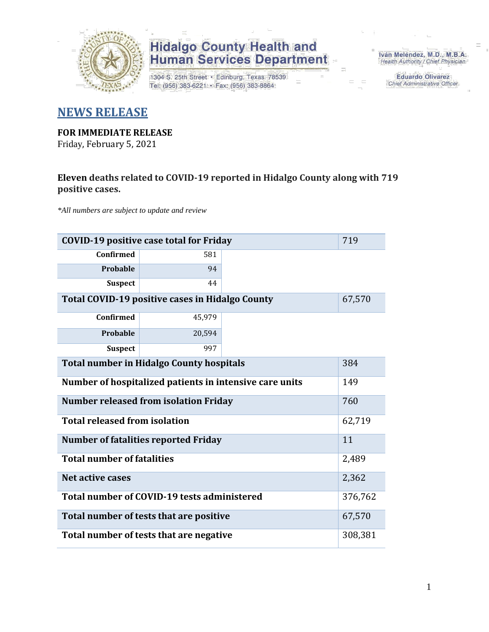

1304 S. 25th Street · Edinburg, Texas 78539 Tel: (956) 383-6221 · Fax: (956) 383-8864

Iván Meléndez, M.D., M.B.A. Health Authority / Chief Physician

> Eduardo Olivarez Chief Administrative Officer

#### **NEWS RELEASE**

#### **FOR IMMEDIATE RELEASE**

Friday, February 5, 2021

#### **Eleven deaths related to COVID-19 reported in Hidalgo County along with 719 positive cases.**

*\*All numbers are subject to update and review*

|                                                                | 719<br><b>COVID-19 positive case total for Friday</b> |  |         |  |  |  |  |  |  |  |  |  |
|----------------------------------------------------------------|-------------------------------------------------------|--|---------|--|--|--|--|--|--|--|--|--|
| <b>Confirmed</b>                                               | 581                                                   |  |         |  |  |  |  |  |  |  |  |  |
| <b>Probable</b>                                                | 94                                                    |  |         |  |  |  |  |  |  |  |  |  |
| <b>Suspect</b>                                                 | 44                                                    |  |         |  |  |  |  |  |  |  |  |  |
| Total COVID-19 positive cases in Hidalgo County                | 67,570                                                |  |         |  |  |  |  |  |  |  |  |  |
| <b>Confirmed</b>                                               | 45,979                                                |  |         |  |  |  |  |  |  |  |  |  |
| <b>Probable</b>                                                | 20,594                                                |  |         |  |  |  |  |  |  |  |  |  |
| <b>Suspect</b>                                                 | 997                                                   |  |         |  |  |  |  |  |  |  |  |  |
| <b>Total number in Hidalgo County hospitals</b><br>384         |                                                       |  |         |  |  |  |  |  |  |  |  |  |
| Number of hospitalized patients in intensive care units<br>149 |                                                       |  |         |  |  |  |  |  |  |  |  |  |
|                                                                | <b>Number released from isolation Friday</b>          |  | 760     |  |  |  |  |  |  |  |  |  |
| <b>Total released from isolation</b>                           |                                                       |  | 62,719  |  |  |  |  |  |  |  |  |  |
|                                                                | <b>Number of fatalities reported Friday</b>           |  | 11      |  |  |  |  |  |  |  |  |  |
| <b>Total number of fatalities</b>                              |                                                       |  | 2,489   |  |  |  |  |  |  |  |  |  |
| Net active cases                                               |                                                       |  | 2,362   |  |  |  |  |  |  |  |  |  |
|                                                                | Total number of COVID-19 tests administered           |  | 376,762 |  |  |  |  |  |  |  |  |  |
|                                                                | Total number of tests that are positive               |  | 67,570  |  |  |  |  |  |  |  |  |  |
| Total number of tests that are negative                        |                                                       |  |         |  |  |  |  |  |  |  |  |  |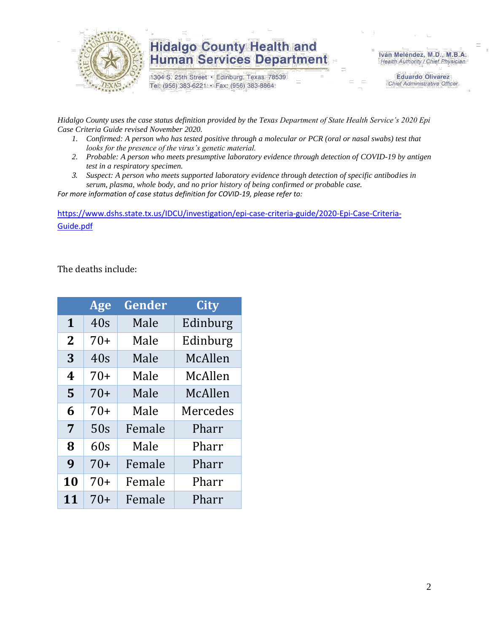

1304 S. 25th Street · Edinburg, Texas 78539 Tel: (956) 383-6221 · Fax: (956) 383-8864

Iván Meléndez, M.D., M.B.A. Health Authority / Chief Physician

> **Eduardo Olivarez** Chief Administrative Officer

*Hidalgo County uses the case status definition provided by the Texas Department of State Health Service's 2020 Epi Case Criteria Guide revised November 2020.*

- *1. Confirmed: A person who has tested positive through a molecular or PCR (oral or nasal swabs) test that looks for the presence of the virus's genetic material.*
- *2. Probable: A person who meets presumptive laboratory evidence through detection of COVID-19 by antigen test in a respiratory specimen.*
- *3. Suspect: A person who meets supported laboratory evidence through detection of specific antibodies in serum, plasma, whole body, and no prior history of being confirmed or probable case.*

*For more information of case status definition for COVID-19, please refer to:*

[https://www.dshs.state.tx.us/IDCU/investigation/epi-case-criteria-guide/2020-Epi-Case-Criteria-](https://www.dshs.state.tx.us/IDCU/investigation/epi-case-criteria-guide/2020-Epi-Case-Criteria-Guide.pdf)[Guide.pdf](https://www.dshs.state.tx.us/IDCU/investigation/epi-case-criteria-guide/2020-Epi-Case-Criteria-Guide.pdf)

The deaths include:

|                | Age   | Gender | <b>City</b> |
|----------------|-------|--------|-------------|
| $\mathbf{1}$   | 40s   | Male   | Edinburg    |
| $\overline{2}$ | $70+$ | Male   | Edinburg    |
| 3              | 40s   | Male   | McAllen     |
| 4              | $70+$ | Male   | McAllen     |
| 5              | $70+$ | Male   | McAllen     |
| 6              | $70+$ | Male   | Mercedes    |
| $\overline{7}$ | 50s   | Female | Pharr       |
| 8              | 60s   | Male   | Pharr       |
| 9              | $70+$ | Female | Pharr       |
| 10             | $70+$ | Female | Pharr       |
| 11             | 70+   | Female | Pharr       |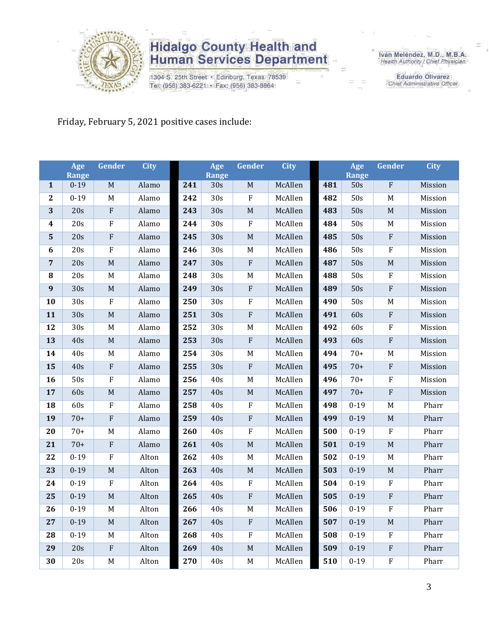

1304 S. 25th Street · Edinburg, Texas 78539 Tel: (956) 383-6221 · Fax: (956) 383-8864

Iván Meléndez, M.D., M.B.A.<br>Health Authority / Chief Physician

**Eduardo Olivarez** Chief Administrative Officer

#### Friday, February 5, 2021 positive cases include:

|                         | Age                      | Gender                    | <b>City</b> |            | Age              | Gender         | <b>City</b>        |     | Age                 | Gender                    | <b>City</b> |
|-------------------------|--------------------------|---------------------------|-------------|------------|------------------|----------------|--------------------|-----|---------------------|---------------------------|-------------|
| $\mathbf{1}$            | <b>Range</b><br>$0 - 19$ | M                         | Alamo       | 241        | Range<br>30s     | M              | McAllen            | 481 | <b>Range</b><br>50s | $\overline{F}$            | Mission     |
| $\boldsymbol{2}$        | $0 - 19$                 | $\mathbf M$               | Alamo       | 242        | 30s              | $\mathbf{F}$   | McAllen            | 482 | 50s                 | $\mathbf M$               | Mission     |
| 3                       | 20s                      | ${\bf F}$                 | Alamo       | 243        | 30s              | $\mathbf M$    | McAllen            | 483 | 50s                 | $\mathbf M$               | Mission     |
| $\overline{\mathbf{4}}$ | 20s                      | ${\bf F}$                 | Alamo       | 244        | 30s              | $\rm F$        | McAllen            | 484 | 50s                 | M                         | Mission     |
| 5                       | 20s                      | $\overline{\mathrm{F}}$   | Alamo       | 245        | 30s              | $\mathbf M$    | McAllen            | 485 | 50s                 | $\rm F$                   | Mission     |
| 6                       | 20s                      | ${\bf F}$                 | Alamo       | 246        | 30s              | $\mathbf M$    | McAllen            | 486 | 50s                 | ${\bf F}$                 | Mission     |
| 7                       | 20s                      | $\mathbf M$               | Alamo       | 247        | 30s              | $\rm F$        | McAllen            | 487 | 50s                 | $\mathbf M$               | Mission     |
| ${\bf 8}$               | 20s                      | $\mathbf M$               | Alamo       | 248        | $\overline{30s}$ | $\mathbf M$    | McAllen            | 488 | 50s                 | $\rm F$                   | Mission     |
| $\boldsymbol{9}$        | 30s                      | $\mathbf M$               | Alamo       | 249        | 30s              | $\rm F$        | McAllen            | 489 | 50s                 | $\overline{F}$            | Mission     |
| 10                      | 30s                      | $\boldsymbol{\mathrm{F}}$ | Alamo       | 250        | 30s              | ${\bf F}$      | McAllen            | 490 | 50s                 | $\mathbf M$               | Mission     |
| 11                      | 30s                      | M                         | Alamo       | 251        | 30s              | $\rm F$        | McAllen            | 491 | 60s                 | ${\bf F}$                 |             |
|                         | 30s                      | $\mathbf M$               |             |            |                  |                |                    | 492 |                     | ${\bf F}$                 | Mission     |
| 12<br>13                | 40s                      |                           | Alamo       | 252<br>253 | 30s<br>30s       | $\mathbf M$    | McAllen<br>McAllen | 493 | 60s<br>60s          | ${\bf F}$                 | Mission     |
|                         |                          | $\mathbf M$               | Alamo       |            |                  | ${\bf F}$      |                    |     |                     |                           | Mission     |
| 14                      | 40s                      | $\mathbf M$               | Alamo       | 254        | 30s              | $\mathbf M$    | McAllen            | 494 | $70+$               | M                         | Mission     |
| 15                      | 40s                      | ${\bf F}$                 | Alamo       | 255        | 30s              | $\rm F$        | McAllen            | 495 | $70+$               | ${\bf F}$                 | Mission     |
| 16                      | 50s                      | ${\bf F}$                 | Alamo       | 256        | 40s              | $\mathbf M$    | McAllen            | 496 | $70+$               | ${\bf F}$                 | Mission     |
| 17                      | 60s                      | M                         | Alamo       | 257        | 40s              | $\mathbf M$    | McAllen            | 497 | $70+$               | $\overline{\mathrm{F}}$   | Mission     |
| 18                      | 60s                      | $\rm F$                   | Alamo       | 258        | 40s              | $\rm F$        | McAllen            | 498 | $0 - 19$            | $\mathbf M$               | Pharr       |
| 19                      | $70+$                    | ${\bf F}$                 | Alamo       | 259        | 40s              | $\rm F$        | McAllen            | 499 | $0 - 19$            | $\mathbf M$               | Pharr       |
| 20                      | $70+$                    | $\mathbf M$               | Alamo       | 260        | 40s              | $\overline{F}$ | McAllen            | 500 | $0-19$              | $\overline{\mathrm{F}}$   | Pharr       |
| 21                      | $70+$                    | $\boldsymbol{\mathrm{F}}$ | Alamo       | 261        | 40s              | $\mathbf M$    | McAllen            | 501 | $0 - 19$            | $\mathbf M$               | Pharr       |
| 22                      | $0 - 19$                 | ${\bf F}$                 | Alton       | 262        | 40s              | $\mathbf M$    | McAllen            | 502 | $0 - 19$            | $\mathbf M$               | Pharr       |
| 23                      | $0 - 19$                 | $\mathbf M$               | Alton       | 263        | 40s              | $\mathbf M$    | McAllen            | 503 | $0 - 19$            | $\mathbf M$               | Pharr       |
| 24                      | $0 - 19$                 | ${\bf F}$                 | Alton       | 264        | 40s              | $\rm F$        | McAllen            | 504 | $0 - 19$            | $\rm F$                   | Pharr       |
| 25                      | $0 - 19$                 | $\mathbf M$               | Alton       | 265        | 40s              | $\overline{F}$ | McAllen            | 505 | $0-19$              | ${\bf F}$                 | Pharr       |
| 26                      | $0 - 19$                 | M                         | Alton       | 266        | 40s              | $\mathbf M$    | McAllen            | 506 | $0 - 19$            | $\rm F$                   | Pharr       |
| 27                      | $0 - 19$                 | $\mathbf M$               | Alton       | 267        | 40s              | $\rm F$        | McAllen            | 507 | $0 - 19$            | $\mathbf M$               | Pharr       |
| 28                      | $0 - 19$                 | $\mathbf M$               | Alton       | 268        | 40s              | $\rm F$        | McAllen            | 508 | $0 - 19$            | $\rm F$                   | Pharr       |
| 29                      | 20s                      | $\boldsymbol{\mathrm{F}}$ | Alton       | 269        | 40s              | $\mathbf M$    | McAllen            | 509 | $0 - 19$            | $\rm F$                   | Pharr       |
| 30                      | 20s                      | $\mathbf M$               | Alton       | 270        | 40s              | $\mathbf M$    | McAllen            | 510 | $0 - 19$            | $\boldsymbol{\mathrm{F}}$ | Pharr       |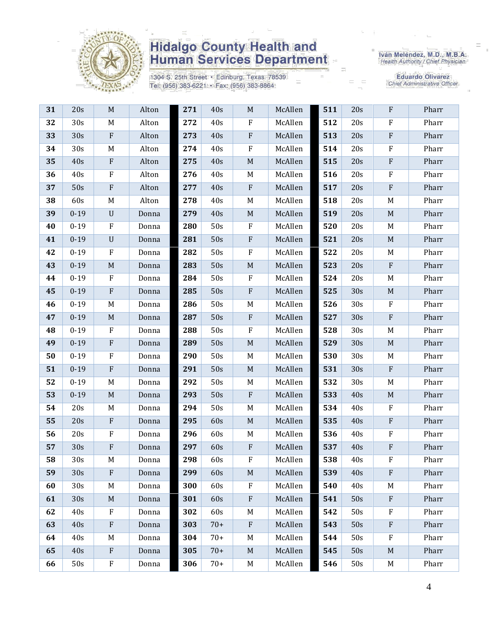

1304 S. 25th Street · Edinburg, Texas 78539 Tel: (956) 383-6221 · Fax: (956) 383-8864

Iván Meléndez, M.D., M.B.A.<br>Health Authority / Chief Physician

| 31 | 20s             | M           | Alton | 271 | 40s   | $M_{\odot}$ | McAllen | 511 | 20s | $\rm F$     | Pharr |
|----|-----------------|-------------|-------|-----|-------|-------------|---------|-----|-----|-------------|-------|
| 32 | 30s             | M           | Alton | 272 | 40s   | $\mathbf F$ | McAllen | 512 | 20s | ${\bf F}$   | Pharr |
| 33 | 30s             | ${\bf F}$   | Alton | 273 | 40s   | ${\bf F}$   | McAllen | 513 | 20s | ${\bf F}$   | Pharr |
| 34 | 30s             | M           | Alton | 274 | 40s   | ${\bf F}$   | McAllen | 514 | 20s | ${\bf F}$   | Pharr |
| 35 | 40s             | ${\bf F}$   | Alton | 275 | 40s   | $\mathbf M$ | McAllen | 515 | 20s | ${\bf F}$   | Pharr |
| 36 | 40s             | ${\bf F}$   | Alton | 276 | 40s   | M           | McAllen | 516 | 20s | ${\bf F}$   | Pharr |
| 37 | 50s             | ${\bf F}$   | Alton | 277 | 40s   | $\,$ F      | McAllen | 517 | 20s | ${\bf F}$   | Pharr |
| 38 | 60s             | M           | Alton | 278 | 40s   | M           | McAllen | 518 | 20s | M           | Pharr |
| 39 | $0 - 19$        | $\mathbf U$ | Donna | 279 | 40s   | $\mathbf M$ | McAllen | 519 | 20s | $\mathbf M$ | Pharr |
| 40 | $0 - 19$        | F           | Donna | 280 | 50s   | $\rm F$     | McAllen | 520 | 20s | M           | Pharr |
| 41 | $0 - 19$        | $\mathbf U$ | Donna | 281 | 50s   | $\rm F$     | McAllen | 521 | 20s | $\mathbf M$ | Pharr |
| 42 | $0 - 19$        | ${\bf F}$   | Donna | 282 | 50s   | $\rm F$     | McAllen | 522 | 20s | M           | Pharr |
| 43 | $0 - 19$        | M           | Donna | 283 | 50s   | $\mathbf M$ | McAllen | 523 | 20s | $\rm F$     | Pharr |
| 44 | $0 - 19$        | $\rm F$     | Donna | 284 | 50s   | $\rm F$     | McAllen | 524 | 20s | M           | Pharr |
| 45 | $0 - 19$        | ${\bf F}$   | Donna | 285 | 50s   | ${\bf F}$   | McAllen | 525 | 30s | $\mathbf M$ | Pharr |
| 46 | $0 - 19$        | M           | Donna | 286 | 50s   | M           | McAllen | 526 | 30s | $\rm F$     | Pharr |
| 47 | $0 - 19$        | $\mathbf M$ | Donna | 287 | 50s   | $\,$ F      | McAllen | 527 | 30s | $\rm F$     | Pharr |
| 48 | $0 - 19$        | $\rm F$     | Donna | 288 | 50s   | $\rm F$     | McAllen | 528 | 30s | M           | Pharr |
| 49 | $0 - 19$        | ${\bf F}$   | Donna | 289 | 50s   | $\mathbf M$ | McAllen | 529 | 30s | M           | Pharr |
| 50 | $0 - 19$        | $\rm F$     | Donna | 290 | 50s   | M           | McAllen | 530 | 30s | M           | Pharr |
| 51 | $0 - 19$        | ${\bf F}$   | Donna | 291 | 50s   | $\mathbf M$ | McAllen | 531 | 30s | $\rm F$     | Pharr |
| 52 | $0 - 19$        | M           | Donna | 292 | 50s   | M           | McAllen | 532 | 30s | M           | Pharr |
| 53 | $0 - 19$        | $\mathbf M$ | Donna | 293 | 50s   | ${\bf F}$   | McAllen | 533 | 40s | $\mathbf M$ | Pharr |
| 54 | 20s             | M           | Donna | 294 | 50s   | M           | McAllen | 534 | 40s | $\rm F$     | Pharr |
| 55 | 20s             | ${\bf F}$   | Donna | 295 | 60s   | $\mathbf M$ | McAllen | 535 | 40s | $\rm F$     | Pharr |
| 56 | 20s             | ${\bf F}$   | Donna | 296 | 60s   | M           | McAllen | 536 | 40s | ${\bf F}$   | Pharr |
| 57 | 30s             | ${\bf F}$   | Donna | 297 | 60s   | $\rm F$     | McAllen | 537 | 40s | ${\bf F}$   | Pharr |
| 58 | 30s             | M           | Donna | 298 | 60s   | F           | McAllen | 538 | 40s | F           | Pharr |
| 59 | 30s             | $\rm F$     | Donna | 299 | 60s   | M           | McAllen | 539 | 40s | ${\bf F}$   | Pharr |
| 60 | 30 <sub>s</sub> | M           | Donna | 300 | 60s   | $\rm F$     | McAllen | 540 | 40s | M           | Pharr |
| 61 | 30s             | M           | Donna | 301 | 60s   | $\,$ F      | McAllen | 541 | 50s | $\rm F$     | Pharr |
| 62 | 40s             | $\rm F$     | Donna | 302 | 60s   | M           | McAllen | 542 | 50s | $\rm F$     | Pharr |
| 63 | 40s             | $\rm F$     | Donna | 303 | $70+$ | ${\bf F}$   | McAllen | 543 | 50s | $\rm F$     | Pharr |
| 64 | 40s             | M           | Donna | 304 | $70+$ | M           | McAllen | 544 | 50s | F           | Pharr |
| 65 | 40s             | $\rm F$     | Donna | 305 | $70+$ | $\mathbf M$ | McAllen | 545 | 50s | M           | Pharr |
| 66 | 50s             | $\rm F$     | Donna | 306 | $70+$ | M           | McAllen | 546 | 50s | M           | Pharr |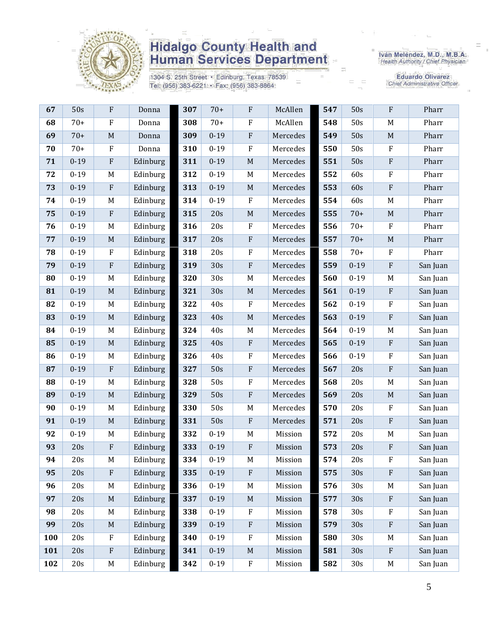

1304 S. 25th Street · Edinburg, Texas 78539 Tel: (956) 383-6221 · Fax: (956) 383-8864

Iván Meléndez, M.D., M.B.A.<br>Health Authority / Chief Physician

| 67  | 50s      | ${\bf F}$    | Donna    | 307 | $70+$    | ${\bf F}$   | McAllen  | 547 | 50s      | $\rm F$                   | Pharr    |
|-----|----------|--------------|----------|-----|----------|-------------|----------|-----|----------|---------------------------|----------|
| 68  | $70+$    | $\mathbf{F}$ | Donna    | 308 | $70+$    | ${\bf F}$   | McAllen  | 548 | 50s      | M                         | Pharr    |
| 69  | $70+$    | M            | Donna    | 309 | $0 - 19$ | ${\bf F}$   | Mercedes | 549 | 50s      | $\mathbf M$               | Pharr    |
| 70  | $70+$    | $\rm F$      | Donna    | 310 | $0 - 19$ | ${\bf F}$   | Mercedes | 550 | 50s      | $\rm F$                   | Pharr    |
| 71  | $0 - 19$ | $\rm F$      | Edinburg | 311 | $0 - 19$ | $\mathbf M$ | Mercedes | 551 | 50s      | $\rm F$                   | Pharr    |
| 72  | $0 - 19$ | M            | Edinburg | 312 | $0 - 19$ | M           | Mercedes | 552 | 60s      | $\mathbf F$               | Pharr    |
| 73  | $0 - 19$ | $\rm F$      | Edinburg | 313 | $0 - 19$ | $\mathbf M$ | Mercedes | 553 | 60s      | $\rm F$                   | Pharr    |
| 74  | $0 - 19$ | M            | Edinburg | 314 | $0 - 19$ | $\rm F$     | Mercedes | 554 | 60s      | M                         | Pharr    |
| 75  | $0 - 19$ | $\rm F$      | Edinburg | 315 | 20s      | $\mathbf M$ | Mercedes | 555 | $70+$    | $\mathbf M$               | Pharr    |
| 76  | $0 - 19$ | M            | Edinburg | 316 | 20s      | ${\bf F}$   | Mercedes | 556 | $70+$    | $\rm F$                   | Pharr    |
| 77  | $0 - 19$ | $\mathbf M$  | Edinburg | 317 | 20s      | ${\bf F}$   | Mercedes | 557 | $70+$    | $\mathbf M$               | Pharr    |
| 78  | $0 - 19$ | $\rm F$      | Edinburg | 318 | 20s      | ${\bf F}$   | Mercedes | 558 | $70+$    | $\rm F$                   | Pharr    |
| 79  | $0 - 19$ | $\rm F$      | Edinburg | 319 | 30s      | ${\bf F}$   | Mercedes | 559 | $0 - 19$ | $\rm F$                   | San Juan |
| 80  | $0 - 19$ | M            | Edinburg | 320 | 30s      | M           | Mercedes | 560 | $0 - 19$ | M                         | San Juan |
| 81  | $0 - 19$ | $\mathbf M$  | Edinburg | 321 | 30s      | $\mathbf M$ | Mercedes | 561 | $0 - 19$ | $\rm F$                   | San Juan |
| 82  | $0 - 19$ | M            | Edinburg | 322 | 40s      | ${\bf F}$   | Mercedes | 562 | $0 - 19$ | $\rm F$                   | San Juan |
| 83  | $0 - 19$ | M            | Edinburg | 323 | 40s      | $\mathbf M$ | Mercedes | 563 | $0 - 19$ | $\rm F$                   | San Juan |
| 84  | $0 - 19$ | M            | Edinburg | 324 | 40s      | $\mathbf M$ | Mercedes | 564 | $0 - 19$ | M                         | San Juan |
| 85  | $0 - 19$ | $\mathbf M$  | Edinburg | 325 | 40s      | ${\bf F}$   | Mercedes | 565 | $0 - 19$ | $\mathbf{F}$              | San Juan |
| 86  | $0 - 19$ | M            | Edinburg | 326 | 40s      | ${\bf F}$   | Mercedes | 566 | $0 - 19$ | $\rm F$                   | San Juan |
| 87  | $0 - 19$ | $\rm F$      | Edinburg | 327 | 50s      | ${\bf F}$   | Mercedes | 567 | 20s      | $\rm F$                   | San Juan |
| 88  | $0 - 19$ | M            | Edinburg | 328 | 50s      | ${\bf F}$   | Mercedes | 568 | 20s      | M                         | San Juan |
| 89  | $0 - 19$ | $\mathbf M$  | Edinburg | 329 | 50s      | ${\bf F}$   | Mercedes | 569 | 20s      | $\mathbf M$               | San Juan |
| 90  | $0 - 19$ | M            | Edinburg | 330 | 50s      | $\mathbf M$ | Mercedes | 570 | 20s      | $\mathbf{F}$              | San Juan |
| 91  | $0 - 19$ | $\mathbf M$  | Edinburg | 331 | 50s      | ${\bf F}$   | Mercedes | 571 | 20s      | $\rm F$                   | San Juan |
| 92  | $0 - 19$ | M            | Edinburg | 332 | $0 - 19$ | M           | Mission  | 572 | 20s      | M                         | San Juan |
| 93  | 20s      | $\rm F$      | Edinburg | 333 | $0 - 19$ | ${\bf F}$   | Mission  | 573 | 20s      | $\boldsymbol{\mathrm{F}}$ | San Juan |
| 94  | 20s      | M            | Edinburg | 334 | $0 - 19$ | $\mathbf M$ | Mission  | 574 | 20s      | $\rm F$                   | San Juan |
| 95  | 20s      | $\rm F$      | Edinburg | 335 | $0 - 19$ | ${\bf F}$   | Mission  | 575 | 30s      | $\rm F$                   | San Juan |
| 96  | 20s      | M            | Edinburg | 336 | $0 - 19$ | M           | Mission  | 576 | 30s      | M                         | San Juan |
| 97  | 20s      | $\mathbf M$  | Edinburg | 337 | $0 - 19$ | $\mathbf M$ | Mission  | 577 | 30s      | $\rm F$                   | San Juan |
| 98  | 20s      | M            | Edinburg | 338 | $0 - 19$ | ${\bf F}$   | Mission  | 578 | 30s      | $\rm F$                   | San Juan |
| 99  | 20s      | $\mathbf M$  | Edinburg | 339 | $0 - 19$ | ${\bf F}$   | Mission  | 579 | 30s      | $\rm F$                   | San Juan |
| 100 | 20s      | $\rm F$      | Edinburg | 340 | $0 - 19$ | F           | Mission  | 580 | 30s      | M                         | San Juan |
| 101 | 20s      | ${\bf F}$    | Edinburg | 341 | $0 - 19$ | $\mathbf M$ | Mission  | 581 | 30s      | $\rm F$                   | San Juan |
| 102 | 20s      | M            | Edinburg | 342 | $0 - 19$ | ${\bf F}$   | Mission  | 582 | 30s      | M                         | San Juan |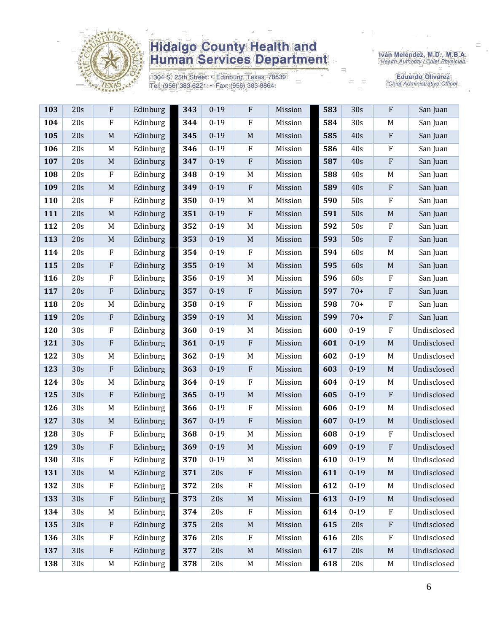

1304 S. 25th Street · Edinburg, Texas 78539 Tel: (956) 383-6221 · Fax: (956) 383-8864

Iván Meléndez, M.D., M.B.A.<br>Health Authority / Chief Physician

| 103 | 20s             | F           | Edinburg | 343 | $0 - 19$ | $\mathbf F$      | Mission | 583 | 30s      | $\mathbf{F}$ | San Juan    |
|-----|-----------------|-------------|----------|-----|----------|------------------|---------|-----|----------|--------------|-------------|
| 104 | 20s             | F           | Edinburg | 344 | $0 - 19$ | F                | Mission | 584 | 30s      | M            | San Juan    |
| 105 | 20s             | $\mathbf M$ | Edinburg | 345 | $0 - 19$ | $\mathbf M$      | Mission | 585 | 40s      | ${\bf F}$    | San Juan    |
| 106 | 20s             | M           | Edinburg | 346 | $0 - 19$ | $\rm F$          | Mission | 586 | 40s      | $\rm F$      | San Juan    |
| 107 | 20s             | $\mathbf M$ | Edinburg | 347 | $0 - 19$ | ${\bf F}$        | Mission | 587 | 40s      | ${\bf F}$    | San Juan    |
| 108 | 20s             | ${\bf F}$   | Edinburg | 348 | $0 - 19$ | M                | Mission | 588 | 40s      | M            | San Juan    |
| 109 | 20s             | $\mathbf M$ | Edinburg | 349 | $0 - 19$ | $\rm F$          | Mission | 589 | 40s      | ${\bf F}$    | San Juan    |
| 110 | 20s             | ${\bf F}$   | Edinburg | 350 | $0 - 19$ | M                | Mission | 590 | 50s      | $\rm F$      | San Juan    |
| 111 | 20s             | $\mathbf M$ | Edinburg | 351 | $0 - 19$ | $\rm F$          | Mission | 591 | 50s      | $\mathbf M$  | San Juan    |
| 112 | 20s             | $\mathbf M$ | Edinburg | 352 | $0 - 19$ | M                | Mission | 592 | 50s      | $\rm F$      | San Juan    |
| 113 | 20s             | $\mathbf M$ | Edinburg | 353 | $0 - 19$ | $\mathbf M$      | Mission | 593 | 50s      | ${\bf F}$    | San Juan    |
| 114 | 20s             | ${\bf F}$   | Edinburg | 354 | $0 - 19$ | $\rm F$          | Mission | 594 | 60s      | M            | San Juan    |
| 115 | 20s             | ${\bf F}$   | Edinburg | 355 | $0 - 19$ | $\mathbf M$      | Mission | 595 | 60s      | $\mathbf M$  | San Juan    |
| 116 | 20s             | ${\bf F}$   | Edinburg | 356 | $0 - 19$ | M                | Mission | 596 | 60s      | $\rm F$      | San Juan    |
| 117 | 20s             | ${\bf F}$   | Edinburg | 357 | $0 - 19$ | $\, {\bf F}$     | Mission | 597 | $70+$    | ${\bf F}$    | San Juan    |
| 118 | 20s             | M           | Edinburg | 358 | $0 - 19$ | $\boldsymbol{F}$ | Mission | 598 | $70+$    | $\rm F$      | San Juan    |
| 119 | 20s             | ${\bf F}$   | Edinburg | 359 | $0 - 19$ | $\mathbf M$      | Mission | 599 | $70+$    | ${\bf F}$    | San Juan    |
| 120 | 30s             | ${\bf F}$   | Edinburg | 360 | $0 - 19$ | M                | Mission | 600 | $0 - 19$ | $\rm F$      | Undisclosed |
| 121 | 30s             | $\rm F$     | Edinburg | 361 | $0 - 19$ | ${\bf F}$        | Mission | 601 | $0 - 19$ | $\mathbf M$  | Undisclosed |
| 122 | 30s             | M           | Edinburg | 362 | $0 - 19$ | M                | Mission | 602 | $0 - 19$ | M            | Undisclosed |
| 123 | 30s             | ${\bf F}$   | Edinburg | 363 | $0 - 19$ | $\rm F$          | Mission | 603 | $0 - 19$ | $\mathbf M$  | Undisclosed |
| 124 | 30s             | $\mathbf M$ | Edinburg | 364 | $0 - 19$ | $\rm F$          | Mission | 604 | $0 - 19$ | M            | Undisclosed |
| 125 | 30s             | ${\bf F}$   | Edinburg | 365 | $0 - 19$ | $\mathbf M$      | Mission | 605 | $0 - 19$ | ${\bf F}$    | Undisclosed |
| 126 | 30s             | M           | Edinburg | 366 | $0 - 19$ | $\mathbf F$      | Mission | 606 | $0 - 19$ | M            | Undisclosed |
| 127 | 30s             | $\mathbf M$ | Edinburg | 367 | $0 - 19$ | ${\bf F}$        | Mission | 607 | $0 - 19$ | $\mathbf M$  | Undisclosed |
| 128 | 30s             | ${\bf F}$   | Edinburg | 368 | $0 - 19$ | M                | Mission | 608 | $0 - 19$ | $\rm F$      | Undisclosed |
| 129 | 30s             | ${\bf F}$   | Edinburg | 369 | $0 - 19$ | $\mathbf M$      | Mission | 609 | $0 - 19$ | $\rm F$      | Undisclosed |
| 130 | 30s             | ${\bf F}$   | Edinburg | 370 | $0 - 19$ | M                | Mission | 610 | $0 - 19$ | $\mathbf M$  | Undisclosed |
| 131 | 30s             | $\mathbf M$ | Edinburg | 371 | 20s      | ${\bf F}$        | Mission | 611 | $0 - 19$ | M            | Undisclosed |
| 132 | 30 <sub>s</sub> | ${\bf F}$   | Edinburg | 372 | 20s      | $\mathbf F$      | Mission | 612 | $0 - 19$ | M            | Undisclosed |
| 133 | 30s             | ${\bf F}$   | Edinburg | 373 | 20s      | $\mathbf M$      | Mission | 613 | $0 - 19$ | $\mathbf M$  | Undisclosed |
| 134 | 30 <sub>s</sub> | M           | Edinburg | 374 | 20s      | ${\bf F}$        | Mission | 614 | $0 - 19$ | $\rm F$      | Undisclosed |
| 135 | 30s             | $\rm F$     | Edinburg | 375 | 20s      | $\mathbf M$      | Mission | 615 | 20s      | $\rm F$      | Undisclosed |
| 136 | 30s             | ${\bf F}$   | Edinburg | 376 | 20s      | $\rm F$          | Mission | 616 | 20s      | $\rm F$      | Undisclosed |
| 137 | 30s             | ${\bf F}$   | Edinburg | 377 | 20s      | $\mathbf M$      | Mission | 617 | 20s      | M            | Undisclosed |
| 138 | 30s             | M           | Edinburg | 378 | 20s      | M                | Mission | 618 | 20s      | M            | Undisclosed |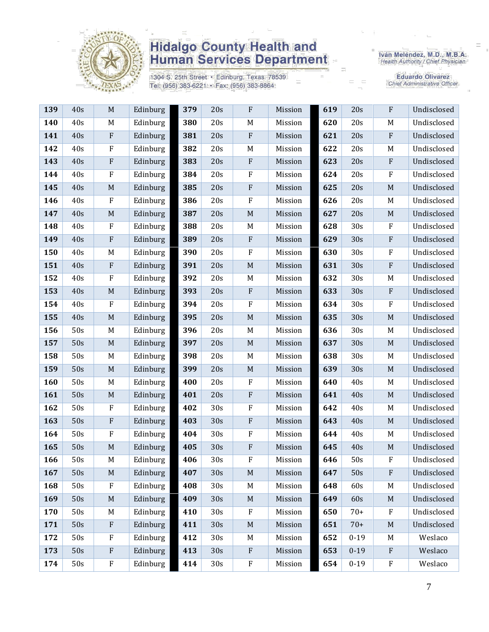

1304 S. 25th Street · Edinburg, Texas 78539 Tel: (956) 383-6221 · Fax: (956) 383-8864

Iván Meléndez, M.D., M.B.A.<br>Health Authority / Chief Physician

| 139 | 40s | $\mathbf M$ | Edinburg | 379 | 20s | ${\bf F}$                 | Mission | 619 | 20s      | $\rm F$      | Undisclosed |
|-----|-----|-------------|----------|-----|-----|---------------------------|---------|-----|----------|--------------|-------------|
| 140 | 40s | M           | Edinburg | 380 | 20s | M                         | Mission | 620 | 20s      | M            | Undisclosed |
| 141 | 40s | ${\bf F}$   | Edinburg | 381 | 20s | $\boldsymbol{\mathrm{F}}$ | Mission | 621 | 20s      | $\rm F$      | Undisclosed |
| 142 | 40s | F           | Edinburg | 382 | 20s | M                         | Mission | 622 | 20s      | M            | Undisclosed |
| 143 | 40s | ${\bf F}$   | Edinburg | 383 | 20s | ${\bf F}$                 | Mission | 623 | 20s      | $\rm F$      | Undisclosed |
| 144 | 40s | ${\bf F}$   | Edinburg | 384 | 20s | ${\bf F}$                 | Mission | 624 | 20s      | $\rm F$      | Undisclosed |
| 145 | 40s | $\mathbf M$ | Edinburg | 385 | 20s | ${\bf F}$                 | Mission | 625 | 20s      | $\mathbf M$  | Undisclosed |
| 146 | 40s | ${\bf F}$   | Edinburg | 386 | 20s | ${\bf F}$                 | Mission | 626 | 20s      | M            | Undisclosed |
| 147 | 40s | $\mathbf M$ | Edinburg | 387 | 20s | $\mathbf M$               | Mission | 627 | 20s      | $\mathbf M$  | Undisclosed |
| 148 | 40s | $\rm F$     | Edinburg | 388 | 20s | M                         | Mission | 628 | 30s      | $\rm F$      | Undisclosed |
| 149 | 40s | ${\bf F}$   | Edinburg | 389 | 20s | ${\bf F}$                 | Mission | 629 | 30s      | $\rm F$      | Undisclosed |
| 150 | 40s | M           | Edinburg | 390 | 20s | $\mathbf F$               | Mission | 630 | 30s      | $\rm F$      | Undisclosed |
| 151 | 40s | ${\bf F}$   | Edinburg | 391 | 20s | $\mathbf M$               | Mission | 631 | 30s      | $\rm F$      | Undisclosed |
| 152 | 40s | $\rm F$     | Edinburg | 392 | 20s | M                         | Mission | 632 | 30s      | M            | Undisclosed |
| 153 | 40s | $\mathbf M$ | Edinburg | 393 | 20s | ${\bf F}$                 | Mission | 633 | 30s      | $\rm F$      | Undisclosed |
| 154 | 40s | ${\bf F}$   | Edinburg | 394 | 20s | ${\bf F}$                 | Mission | 634 | 30s      | $\rm F$      | Undisclosed |
| 155 | 40s | $\mathbf M$ | Edinburg | 395 | 20s | $\mathbf M$               | Mission | 635 | 30s      | M            | Undisclosed |
| 156 | 50s | M           | Edinburg | 396 | 20s | M                         | Mission | 636 | 30s      | M            | Undisclosed |
| 157 | 50s | $\mathbf M$ | Edinburg | 397 | 20s | $\mathbf M$               | Mission | 637 | 30s      | $\mathbf M$  | Undisclosed |
| 158 | 50s | M           | Edinburg | 398 | 20s | M                         | Mission | 638 | 30s      | M            | Undisclosed |
| 159 | 50s | $\mathbf M$ | Edinburg | 399 | 20s | $\mathbf M$               | Mission | 639 | 30s      | M            | Undisclosed |
| 160 | 50s | M           | Edinburg | 400 | 20s | ${\bf F}$                 | Mission | 640 | 40s      | M            | Undisclosed |
| 161 | 50s | $\mathbf M$ | Edinburg | 401 | 20s | ${\bf F}$                 | Mission | 641 | 40s      | $\mathbf M$  | Undisclosed |
| 162 | 50s | F           | Edinburg | 402 | 30s | $\rm F$                   | Mission | 642 | 40s      | M            | Undisclosed |
| 163 | 50s | ${\bf F}$   | Edinburg | 403 | 30s | ${\bf F}$                 | Mission | 643 | 40s      | M            | Undisclosed |
| 164 | 50s | $\rm F$     | Edinburg | 404 | 30s | $\rm F$                   | Mission | 644 | 40s      | M            | Undisclosed |
| 165 | 50s | $\mathbf M$ | Edinburg | 405 | 30s | ${\bf F}$                 | Mission | 645 | 40s      | M            | Undisclosed |
| 166 | 50s | M           | Edinburg | 406 | 30s | F                         | Mission | 646 | 50s      | F            | Undisclosed |
| 167 | 50s | M           | Edinburg | 407 | 30s | $\mathbf M$               | Mission | 647 | 50s      | F            | Undisclosed |
| 168 | 50s | $\rm F$     | Edinburg | 408 | 30s | M                         | Mission | 648 | 60s      | M            | Undisclosed |
| 169 | 50s | $\mathbf M$ | Edinburg | 409 | 30s | $\mathbf M$               | Mission | 649 | 60s      | $\mathbf M$  | Undisclosed |
| 170 | 50s | M           | Edinburg | 410 | 30s | $\rm F$                   | Mission | 650 | $70+$    | $\mathbf{F}$ | Undisclosed |
| 171 | 50s | ${\bf F}$   | Edinburg | 411 | 30s | $\mathbf M$               | Mission | 651 | $70+$    | M            | Undisclosed |
| 172 | 50s | $\rm F$     | Edinburg | 412 | 30s | M                         | Mission | 652 | $0 - 19$ | M            | Weslaco     |
| 173 | 50s | ${\bf F}$   | Edinburg | 413 | 30s | $\boldsymbol{\mathrm{F}}$ | Mission | 653 | $0 - 19$ | $\mathbf{F}$ | Weslaco     |
| 174 | 50s | ${\bf F}$   | Edinburg | 414 | 30s | ${\bf F}$                 | Mission | 654 | $0 - 19$ | $\rm F$      | Weslaco     |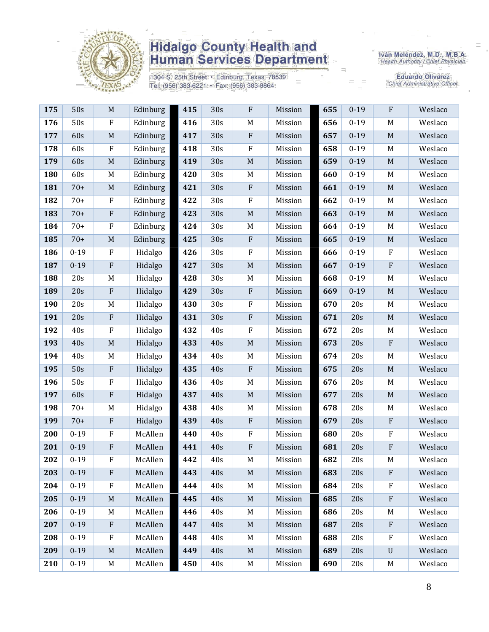

1304 S. 25th Street · Edinburg, Texas 78539 Tel: (956) 383-6221 · Fax: (956) 383-8864

Iván Meléndez, M.D., M.B.A.<br>Health Authority / Chief Physician

| 175 | 50s      | $\mathbf M$  | Edinburg | 415 | 30s | $\rm F$     | Mission | 655 | $0 - 19$ | $\rm F$                   | Weslaco |
|-----|----------|--------------|----------|-----|-----|-------------|---------|-----|----------|---------------------------|---------|
| 176 | 50s      | ${\bf F}$    | Edinburg | 416 | 30s | M           | Mission | 656 | $0 - 19$ | M                         | Weslaco |
| 177 | 60s      | $\mathbf M$  | Edinburg | 417 | 30s | ${\bf F}$   | Mission | 657 | $0 - 19$ | $\mathbf M$               | Weslaco |
| 178 | 60s      | $\rm F$      | Edinburg | 418 | 30s | $\rm F$     | Mission | 658 | $0 - 19$ | M                         | Weslaco |
| 179 | 60s      | $\mathbf M$  | Edinburg | 419 | 30s | $\mathbf M$ | Mission | 659 | $0 - 19$ | $\mathbf M$               | Weslaco |
| 180 | 60s      | M            | Edinburg | 420 | 30s | $M_{\rm}$   | Mission | 660 | $0 - 19$ | M                         | Weslaco |
| 181 | $70+$    | M            | Edinburg | 421 | 30s | $\rm F$     | Mission | 661 | $0 - 19$ | $\mathbf M$               | Weslaco |
| 182 | $70+$    | $\rm F$      | Edinburg | 422 | 30s | ${\bf F}$   | Mission | 662 | $0 - 19$ | M                         | Weslaco |
| 183 | $70+$    | ${\bf F}$    | Edinburg | 423 | 30s | $\mathbf M$ | Mission | 663 | $0 - 19$ | $\mathbf M$               | Weslaco |
| 184 | $70+$    | ${\bf F}$    | Edinburg | 424 | 30s | M           | Mission | 664 | $0 - 19$ | M                         | Weslaco |
| 185 | $70+$    | M            | Edinburg | 425 | 30s | $\rm F$     | Mission | 665 | $0 - 19$ | $\mathbf M$               | Weslaco |
| 186 | $0 - 19$ | ${\bf F}$    | Hidalgo  | 426 | 30s | $\rm F$     | Mission | 666 | $0 - 19$ | ${\bf F}$                 | Weslaco |
| 187 | $0 - 19$ | $\rm F$      | Hidalgo  | 427 | 30s | $\mathbf M$ | Mission | 667 | $0 - 19$ | ${\bf F}$                 | Weslaco |
| 188 | 20s      | M            | Hidalgo  | 428 | 30s | $\mathbf M$ | Mission | 668 | $0 - 19$ | M                         | Weslaco |
| 189 | 20s      | ${\bf F}$    | Hidalgo  | 429 | 30s | ${\bf F}$   | Mission | 669 | $0 - 19$ | $\mathbf M$               | Weslaco |
| 190 | 20s      | M            | Hidalgo  | 430 | 30s | $\rm F$     | Mission | 670 | 20s      | M                         | Weslaco |
| 191 | 20s      | $\rm F$      | Hidalgo  | 431 | 30s | $\rm F$     | Mission | 671 | 20s      | $\mathbf M$               | Weslaco |
| 192 | 40s      | $\rm F$      | Hidalgo  | 432 | 40s | ${\bf F}$   | Mission | 672 | 20s      | M                         | Weslaco |
| 193 | 40s      | $\mathbf M$  | Hidalgo  | 433 | 40s | $\mathbf M$ | Mission | 673 | 20s      | ${\bf F}$                 | Weslaco |
| 194 | 40s      | M            | Hidalgo  | 434 | 40s | M           | Mission | 674 | 20s      | M                         | Weslaco |
| 195 | 50s      | $\rm F$      | Hidalgo  | 435 | 40s | $\rm F$     | Mission | 675 | 20s      | $\mathbf M$               | Weslaco |
| 196 | 50s      | $\rm F$      | Hidalgo  | 436 | 40s | $\mathbf M$ | Mission | 676 | 20s      | M                         | Weslaco |
| 197 | 60s      | $\rm F$      | Hidalgo  | 437 | 40s | $\mathbf M$ | Mission | 677 | 20s      | $\mathbf M$               | Weslaco |
| 198 | $70+$    | M            | Hidalgo  | 438 | 40s | M           | Mission | 678 | 20s      | M                         | Weslaco |
| 199 | $70+$    | ${\bf F}$    | Hidalgo  | 439 | 40s | ${\bf F}$   | Mission | 679 | 20s      | ${\bf F}$                 | Weslaco |
| 200 | $0 - 19$ | ${\bf F}$    | McAllen  | 440 | 40s | $\rm F$     | Mission | 680 | 20s      | ${\bf F}$                 | Weslaco |
| 201 | $0 - 19$ | $\rm F$      | McAllen  | 441 | 40s | $\rm F$     | Mission | 681 | 20s      | ${\bf F}$                 | Weslaco |
| 202 | $0 - 19$ | ${\bf F}$    | McAllen  | 442 | 40s | M           | Mission | 682 | 20s      | M                         | Weslaco |
| 203 | $0 - 19$ | $\mathbf{F}$ | McAllen  | 443 | 40s | $M_{\odot}$ | Mission | 683 | 20s      | $\mathbf{F}$              | Weslaco |
| 204 | $0 - 19$ | F            | McAllen  | 444 | 40s | M           | Mission | 684 | 20s      | F                         | Weslaco |
| 205 | $0 - 19$ | $\mathbf M$  | McAllen  | 445 | 40s | $\mathbf M$ | Mission | 685 | 20s      | $\boldsymbol{\mathrm{F}}$ | Weslaco |
| 206 | $0 - 19$ | M            | McAllen  | 446 | 40s | M           | Mission | 686 | 20s      | M                         | Weslaco |
| 207 | $0 - 19$ | $\mathbf{F}$ | McAllen  | 447 | 40s | $\mathbf M$ | Mission | 687 | 20s      | $\mathbf{F}$              | Weslaco |
| 208 | $0 - 19$ | F            | McAllen  | 448 | 40s | M           | Mission | 688 | 20s      | $\rm F$                   | Weslaco |
| 209 | $0 - 19$ | M            | McAllen  | 449 | 40s | $\mathbf M$ | Mission | 689 | 20s      | $\mathbf U$               | Weslaco |
| 210 | $0 - 19$ | M            | McAllen  | 450 | 40s | M           | Mission | 690 | 20s      | M                         | Weslaco |